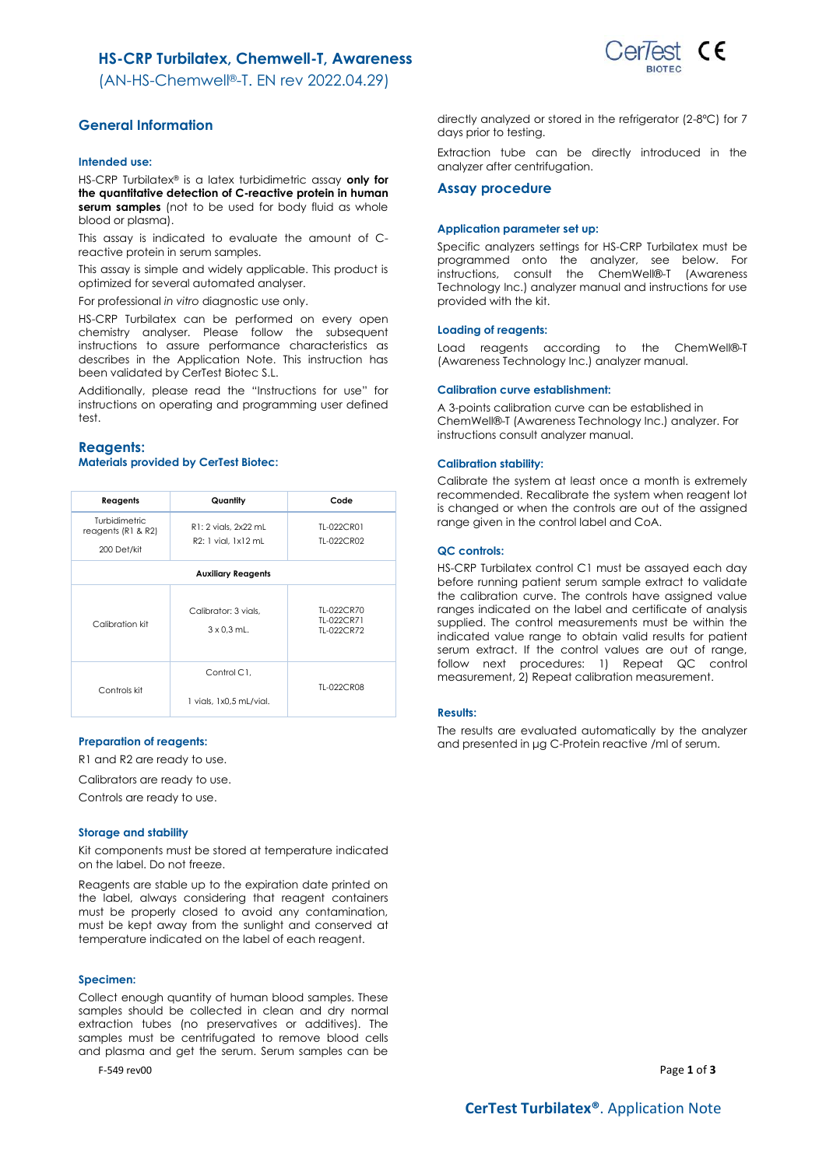## **HS-CRP Turbilatex, Chemwell-T, Awareness**

(AN-HS-Chemwell®-T. EN rev 2022.04.29)



## **General Information**

### **Intended use:**

HS-CRP Turbilatex® is a latex turbidimetric assay **only for the quantitative detection of C-reactive protein in human serum samples** (not to be used for body fluid as whole blood or plasma).

This assay is indicated to evaluate the amount of Creactive protein in serum samples.

This assay is simple and widely applicable. This product is optimized for several automated analyser.

For professional *in vitro* diagnostic use only.

HS-CRP Turbilatex can be performed on every open chemistry analyser. Please follow the subsequent instructions to assure performance characteristics as describes in the Application Note. This instruction has been validated by CerTest Biotec S.L.

Additionally, please read the "Instructions for use" for instructions on operating and programming user defined test.

### **Reagents: Materials provided by CerTest Biotec:**

| Reagents                                             | Quantity                                    | Code                                   |
|------------------------------------------------------|---------------------------------------------|----------------------------------------|
| Turbidimetric<br>reagents $(R1 & R2)$<br>200 Det/kit | R1: 2 vials, 2x22 mL<br>R2: 1 vial. 1x12 mL | TL-022CR01<br>TI-022CR02               |
|                                                      | <b>Auxiliary Reagents</b>                   |                                        |
|                                                      |                                             |                                        |
| Calibration kit                                      | Calibrator: 3 vials.<br>$3 \times 0.3$ mL.  | TL-022CR70<br>TI-022CR71<br>TI-022CR72 |
| Controls kit                                         | Control C1.<br>1 vials, 1x0,5 mL/vial.      | TL-022CR08                             |

### **Preparation of reagents:**

R1 and R2 are ready to use.

Calibrators are ready to use.

Controls are ready to use.

#### **Storage and stability**

Kit components must be stored at temperature indicated on the label. Do not freeze.

Reagents are stable up to the expiration date printed on the label, always considering that reagent containers must be properly closed to avoid any contamination, must be kept away from the sunlight and conserved at temperature indicated on the label of each reagent.

### **Specimen:**

Collect enough quantity of human blood samples. These samples should be collected in clean and dry normal extraction tubes (no preservatives or additives). The samples must be centrifugated to remove blood cells and plasma and get the serum. Serum samples can be

F-549 rev00 Page **1** of **3**

directly analyzed or stored in the refrigerator (2-8ºC) for 7 days prior to testing.

Extraction tube can be directly introduced in the analyzer after centrifugation.

#### **Assay procedure**

#### **Application parameter set up:**

Specific analyzers settings for HS-CRP Turbilatex must be programmed onto the analyzer, see below. For instructions, consult the ChemWell®-T (Awareness Technology Inc.) analyzer manual and instructions for use provided with the kit.

### **Loading of reagents:**

Load reagents according to the ChemWell®-T (Awareness Technology Inc.) analyzer manual.

### **Calibration curve establishment:**

A 3-points calibration curve can be established in ChemWell®-T (Awareness Technology Inc.) analyzer. For instructions consult analyzer manual.

### **Calibration stability:**

Calibrate the system at least once a month is extremely recommended. Recalibrate the system when reagent lot is changed or when the controls are out of the assigned range given in the control label and CoA.

#### **QC controls:**

HS-CRP Turbilatex control C1 must be assayed each day before running patient serum sample extract to validate the calibration curve. The controls have assigned value ranges indicated on the label and certificate of analysis supplied. The control measurements must be within the indicated value range to obtain valid results for patient serum extract. If the control values are out of range, follow next procedures: 1) Repeat QC control measurement, 2) Repeat calibration measurement.

### **Results:**

The results are evaluated automatically by the analyzer and presented in μg C-Protein reactive /ml of serum.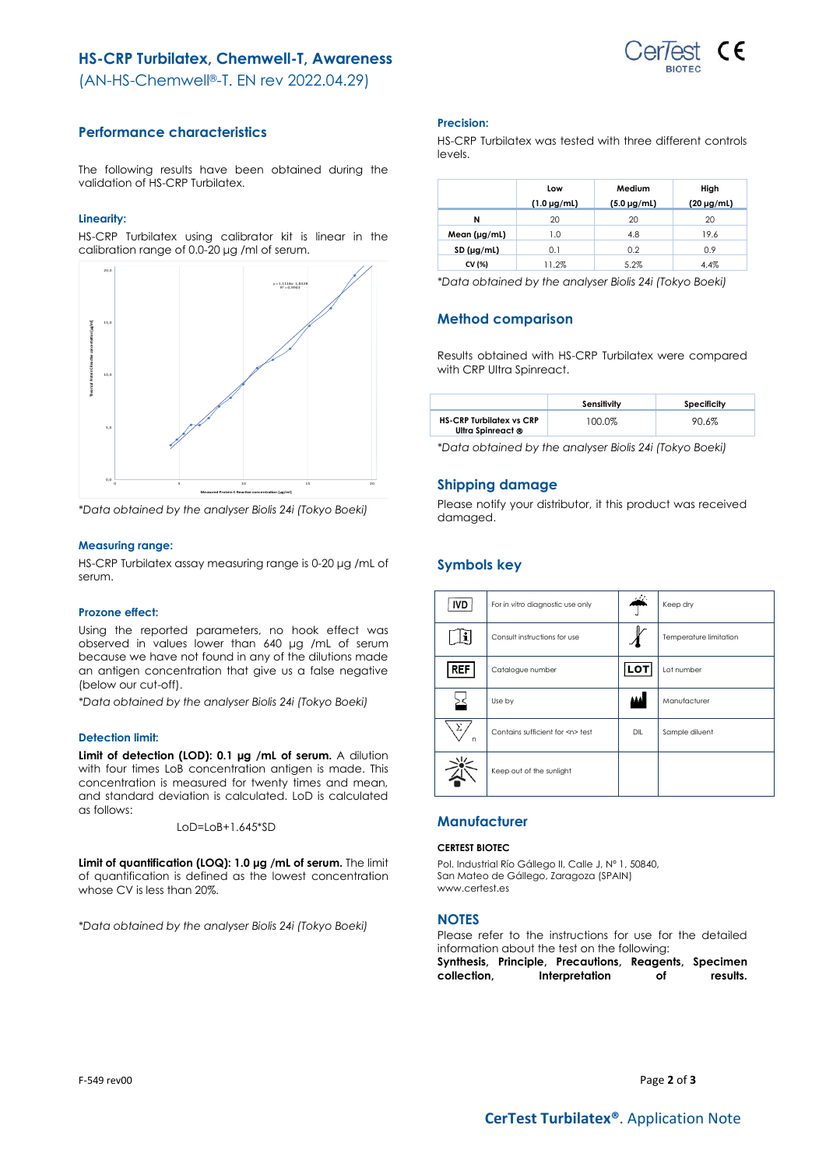# **HS-CRP Turbilatex, Chemwell-T, Awareness**



(AN-HS-Chemwell®-T. EN rev 2022.04.29)

## **Performance characteristics**

The following results have been obtained during the validation of HS-CRP Turbilatex.

## **Linearity:**

HS-CRP Turbilatex using calibrator kit is linear in the calibration range of 0.0-20 μg /ml of serum.



*\*Data obtained by the analyser Biolis 24i (Tokyo Boeki)*

### **Measuring range:**

HS-CRP Turbilatex assay measuring range is 0-20 μg /mL of serum.

### **Prozone effect:**

Using the reported parameters, no hook effect was observed in values lower than 640 μg /mL of serum because we have not found in any of the dilutions made an antigen concentration that give us a false negative (below our cut-off).

*\*Data obtained by the analyser Biolis 24i (Tokyo Boeki)*

### **Detection limit:**

**Limit of detection (LOD): 0.1 μg /mL of serum.** A dilution with four times LoB concentration antigen is made. This concentration is measured for twenty times and mean, and standard deviation is calculated. LoD is calculated as follows:

LoD=LoB+1.645\*SD

**Limit of quantification (LOQ): 1.0 μg /mL of serum.** The limit of quantification is defined as the lowest concentration whose CV is less than 20%.

*\*Data obtained by the analyser Biolis 24i (Tokyo Boeki)*

### **Precision:**

HS-CRP Turbilatex was tested with three different controls levels.

|                   | Low                | Medium             | High            |
|-------------------|--------------------|--------------------|-----------------|
|                   | $(1.0 \,\mu g/ml)$ | $(5.0 \,\mu g/ml)$ | $(20 \mu g/ml)$ |
| N                 | 20                 | 20                 | 20              |
| Mean $(\mu g/ml)$ | 1.0                | 4.8                | 19.6            |
| SD (µg/ml)        | 0.1                | 0.2                | 0.9             |
| CV (%)            | 11.2%              | 5.2%               | 4.4%            |

*\*Data obtained by the analyser Biolis 24i (Tokyo Boeki)*

## **Method comparison**

Results obtained with HS-CRP Turbilatex were compared with CRP Ultra Spinreact.

|                                                      | Sensitivity | Specificity |
|------------------------------------------------------|-------------|-------------|
| <b>HS-CRP Turbilatex vs CRP</b><br>Ultra Spinreact ® | 100.0%      | 90.6%       |

*\*Data obtained by the analyser Biolis 24i (Tokyo Boeki)*

## **Shipping damage**

Please notify your distributor, it this product was received damaged.

## **Symbols key**

| <b>IVD</b> | For in vitro diagnostic use only     | والحفظ | Keep dry               |
|------------|--------------------------------------|--------|------------------------|
|            | Consult instructions for use         |        | Temperature limitation |
| <b>REF</b> | Catalogue number                     | LOT    | Lot number             |
|            | Use by                               | اعده   | Manufacturer           |
| Σ<br>n     | Contains sufficient for <n> test</n> | DIL    | Sample diluent         |
|            | Keep out of the sunlight             |        |                        |

## **Manufacturer**

#### **CERTEST BIOTEC**

Pol. Industrial Río Gállego II, Calle J, Nº 1, 50840, San Mateo de Gállego, Zaragoza (SPAIN) www.certest.es

### **NOTES**

Please refer to the instructions for use for the detailed information about the test on the following:

**Synthesis, Principle, Precautions, Reagents, Specimen collection, Interpretation of results.**